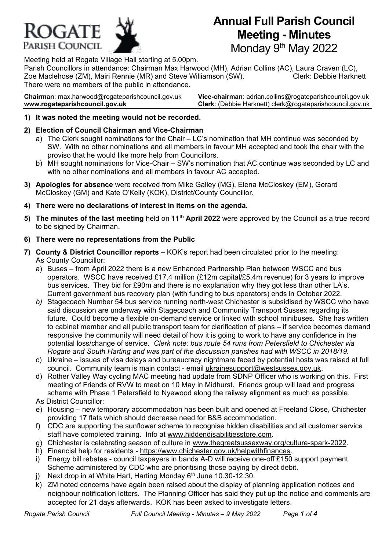

# **Annual Full Parish Council Meeting - Minutes** Monday 9<sup>th</sup> May 2022

Meeting held at Rogate Village Hall starting at 5.00pm.

Parish Councillors in attendance: Chairman Max Harwood (MH), Adrian Collins (AC), Laura Craven (LC), Zoe Maclehose (ZM), Mairi Rennie (MR) and Steve Williamson (SW). Clerk: Debbie Harknett There were no members of the public in attendance.

**Chairman**: max.harwoo[d@rogateparishcouncil.gov.uk](mailto:max.harwood@rogateparishcouncil.gov.uk) **Vice-chairman**: adrian.collins@rogateparishcouncil.gov.uk **www.rogateparishcouncil.gov.uk Clerk**: (Debbie Harknett) [clerk@rogateparishcouncil.gov.uk](mailto:clerk@rogateparishcouncil.gov.uk)

**1) It was noted the meeting would not be recorded.** 

# **2) Election of Council Chairman and Vice-Chairman**

- a) The Clerk sought nominations for the Chair LC's nomination that MH continue was seconded by SW. With no other nominations and all members in favour MH accepted and took the chair with the proviso that he would like more help from Councillors.
- b) MH sought nominations for Vice-Chair SW's nomination that AC continue was seconded by LC and with no other nominations and all members in favour AC accepted.
- **3) Apologies for absence** were received from Mike Galley (MG), Elena McCloskey (EM), Gerard McCloskey (GM) and Kate O'Kelly (KOK), District/County Councillor.
- **4) There were no declarations of interest in items on the agenda.**
- **5) The minutes of the last meeting** held on **11th April 2022** were approved by the Council as a true record to be signed by Chairman.

# **6) There were no representations from the Public**

- **7) County & District Councillor reports** KOK's report had been circulated prior to the meeting: As County Councillor:
	- a) Buses from April 2022 there is a new Enhanced Partnership Plan between WSCC and bus operators. WSCC have received £17.4 million (£12m capital/£5.4m revenue) for 3 years to improve bus services. They bid for £90m and there is no explanation why they got less than other LA's. Current government bus recovery plan (with funding to bus operators) ends in October 2022.
	- *b)* Stagecoach Number 54 bus service running north-west Chichester is subsidised by WSCC who have said discussion are underway with Stagecoach and Community Transport Sussex regarding its future. Could become a flexible on-demand service or linked with school minibuses. She has written to cabinet member and all public transport team for clarification of plans – if service becomes demand responsive the community will need detail of how it is going to work to have any confidence in the potential loss/change of service. *Clerk note: bus route 54 runs from Petersfield to Chichester via Rogate and South Harting and was part of the discussion parishes had with WSCC in 2018/19.*
	- c) Ukraine issues of visa delays and bureaucracy nightmare faced by potential hosts was raised at full council. Community team is main contact - email [ukrainesupport@westsussex.gov.uk.](mailto:ukrainesupport@westsussex.gov.uk)
	- d) Rother Valley Way cycling MAC meeting had update from SDNP Officer who is working on this. First meeting of Friends of RVW to meet on 10 May in Midhurst. Friends group will lead and progress scheme with Phase 1 Petersfield to Nyewood along the railway alignment as much as possible. As District Councillor:
	- e) Housing new temporary accommodation has been built and opened at Freeland Close, Chichester providing 17 flats which should decrease need for B&B accommodation.
	- f) CDC are supporting the sunflower scheme to recognise hidden disabilities and all customer service staff have completed training. Info at [www.hiddendisabilitiesstore.com.](http://www.hiddendisabilitiesstore.com/)
	- g) Chichester is celebrating season of culture in [www.thegreatsussexway.org/culture-spark-2022.](http://www.thegreatsussexway.org/culture-spark-2022)
	- h) Financial help for residents [https://www.chichester.gov.uk/helpwithfinances.](https://www.chichester.gov.uk/helpwithfinances)
	- i) Energy bill rebates council taxpayers in bands A-D will receive one-off £150 support payment. Scheme administered by CDC who are prioritising those paying by direct debit.
	- j) Next drop in at White Hart, Harting Monday  $6<sup>th</sup>$  June 10.30-12.30.
	- k) ZM noted concerns have again been raised about the display of planning application notices and neighbour notification letters. The Planning Officer has said they put up the notice and comments are accepted for 21 days afterwards. KOK has been asked to investigate letters.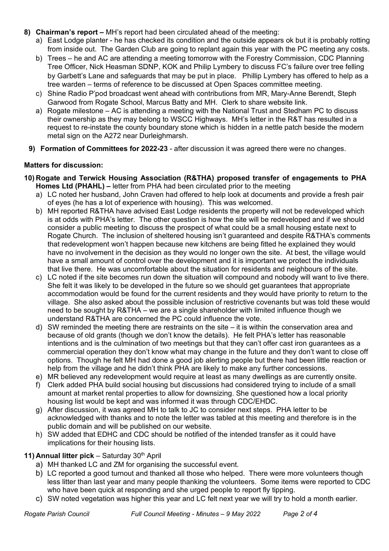- **8) Chairman's report –** MH's report had been circulated ahead of the meeting:
	- a) East Lodge planter he has checked its condition and the outside appears ok but it is probably rotting from inside out. The Garden Club are going to replant again this year with the PC meeting any costs.
	- b) Trees he and AC are attending a meeting tomorrow with the Forestry Commission, CDC Planning Tree Officer, Nick Heasman SDNP, KOK and Philip Lymbery to discuss FC's failure over tree felling by Garbett's Lane and safeguards that may be put in place. Phillip Lymbery has offered to help as a tree warden – terms of reference to be discussed at Open Spaces committee meeting.
	- c) Shine Radio P'pod broadcast went ahead with contributions from MR, Mary-Anne Berendt, Steph Garwood from Rogate School, Marcus Batty and MH. Clerk to share website link.
	- a) Rogate milestone AC is attending a meeting with the National Trust and Stedham PC to discuss their ownership as they may belong to WSCC Highways. MH's letter in the R&T has resulted in a request to re-instate the county boundary stone which is hidden in a nettle patch beside the modern metal sign on the A272 near Durleighmarsh.
	- **9) Formation of Committees for 2022-23** after discussion it was agreed there were no changes.

# **Matters for discussion:**

- **10) Rogate and Terwick Housing Association (R&THA) proposed transfer of engagements to PHA Homes Ltd (PHAHL) –** letter from PHA had been circulated prior to the meeting
	- a) LC noted her husband, John Craven had offered to help look at documents and provide a fresh pair of eyes (he has a lot of experience with housing). This was welcomed.
	- b) MH reported R&THA have advised East Lodge residents the property will not be redeveloped which is at odds with PHA's letter. The other question is how the site will be redeveloped and if we should consider a public meeting to discuss the prospect of what could be a small housing estate next to Rogate Church. The inclusion of sheltered housing isn't guaranteed and despite R&THA's comments that redevelopment won't happen because new kitchens are being fitted he explained they would have no involvement in the decision as they would no longer own the site. At best, the village would have a small amount of control over the development and it is important we protect the individuals that live there. He was uncomfortable about the situation for residents and neighbours of the site.
	- c) LC noted if the site becomes run down the situation will compound and nobody will want to live there. She felt it was likely to be developed in the future so we should get guarantees that appropriate accommodation would be found for the current residents and they would have priority to return to the village. She also asked about the possible inclusion of restrictive covenants but was told these would need to be sought by R&THA – we are a single shareholder with limited influence though we understand R&THA are concerned the PC could influence the vote.
	- d) SW reminded the meeting there are restraints on the site it is within the conservation area and because of old grants (though we don't know the details). He felt PHA's letter has reasonable intentions and is the culmination of two meetings but that they can't offer cast iron guarantees as a commercial operation they don't know what may change in the future and they don't want to close off options. Though he felt MH had done a good job alerting people but there had been little reaction or help from the village and he didn't think PHA are likely to make any further concessions.
	- e) MR believed any redevelopment would require at least as many dwellings as are currently onsite.
	- f) Clerk added PHA build social housing but discussions had considered trying to include of a small amount at market rental properties to allow for downsizing. She questioned how a local priority housing list would be kept and was informed it was through CDC/EHDC.
	- g) After discussion, it was agreed MH to talk to JC to consider next steps. PHA letter to be acknowledged with thanks and to note the letter was tabled at this meeting and therefore is in the public domain and will be published on our website.
	- h) SW added that EDHC and CDC should be notified of the intended transfer as it could have implications for their housing lists.

# **11) Annual litter pick** – Saturday 30th April

- a) MH thanked LC and ZM for organising the successful event.
- b) LC reported a good turnout and thanked all those who helped. There were more volunteers though less litter than last year and many people thanking the volunteers. Some items were reported to CDC who have been quick at responding and she urged people to report fly tipping.
- c) SW noted vegetation was higher this year and LC felt next year we will try to hold a month earlier.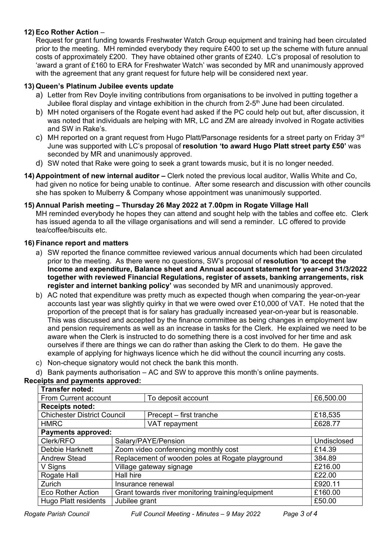# **12) Eco Rother Action** –

Request for grant funding towards Freshwater Watch Group equipment and training had been circulated prior to the meeting. MH reminded everybody they require £400 to set up the scheme with future annual costs of approximately £200. They have obtained other grants of £240. LC's proposal of resolution to 'award a grant of £160 to ERA for Freshwater Watch' was seconded by MR and unanimously approved with the agreement that any grant request for future help will be considered next year.

## **13) Queen's Platinum Jubilee events update**

- a) Letter from Rev Doyle inviting contributions from organisations to be involved in putting together a Jubilee floral display and vintage exhibition in the church from 2-5<sup>th</sup> June had been circulated.
- b) MH noted organisers of the Rogate event had asked if the PC could help out but, after discussion, it was noted that individuals are helping with MR, LC and ZM are already involved in Rogate activities and SW in Rake's.
- c) MH reported on a grant request from Hugo Platt/Parsonage residents for a street party on Friday 3 $^{\text{rd}}$ June was supported with LC's proposal of **resolution 'to award Hugo Platt street party £50'** was seconded by MR and unanimously approved.
- d) SW noted that Rake were going to seek a grant towards music, but it is no longer needed.
- **14) Appointment of new internal auditor –** Clerk noted the previous local auditor, Wallis White and Co, had given no notice for being unable to continue. After some research and discussion with other councils she has spoken to Mulberry & Company whose appointment was unanimously supported.

#### **15) Annual Parish meeting – Thursday 26 May 2022 at 7.00pm in Rogate Village Hall**

MH reminded everybody he hopes they can attend and sought help with the tables and coffee etc. Clerk has issued agenda to all the village organisations and will send a reminder. LC offered to provide tea/coffee/biscuits etc.

#### **16) Finance report and matters**

- a) SW reported the finance committee reviewed various annual documents which had been circulated prior to the meeting. As there were no questions, SW's proposal of **resolution 'to accept the Income and expenditure, Balance sheet and Annual account statement for year-end 31/3/2022 together with reviewed Financial Regulations, register of assets, banking arrangements, risk register and internet banking policy'** was seconded by MR and unanimously approved.
- b) AC noted that expenditure was pretty much as expected though when comparing the year-on-year accounts last year was slightly quirky in that we were owed over £10,000 of VAT. He noted that the proportion of the precept that is for salary has gradually increased year-on-year but is reasonable. This was discussed and accepted by the finance committee as being changes in employment law and pension requirements as well as an increase in tasks for the Clerk. He explained we need to be aware when the Clerk is instructed to do something there is a cost involved for her time and ask ourselves if there are things we can do rather than asking the Clerk to do them. He gave the example of applying for highways licence which he did without the council incurring any costs.
- c) Non-cheque signatory would not check the bank this month.
- d) Bank payments authorisation AC and SW to approve this month's online payments.

#### **Receipts and payments approved:**

| <b>Transfer noted:</b>                |                                                   |                         |             |
|---------------------------------------|---------------------------------------------------|-------------------------|-------------|
| From Current account                  |                                                   | To deposit account      | £6,500.00   |
| <b>Receipts noted:</b>                |                                                   |                         |             |
| <b>Chichester District Council</b>    |                                                   | Precept – first tranche | £18,535     |
| <b>HMRC</b>                           |                                                   | VAT repayment           | £628.77     |
| <b>Payments approved:</b>             |                                                   |                         |             |
| Clerk/RFO                             | Salary/PAYE/Pension                               |                         | Undisclosed |
| Debbie Harknett                       | Zoom video conferencing monthly cost              |                         | £14.39      |
| <b>Andrew Stead</b>                   | Replacement of wooden poles at Rogate playground  |                         | 384.89      |
| V Signs                               | Village gateway signage                           |                         | £216.00     |
| Rogate Hall                           | Hall hire                                         | £22.00                  |             |
| Zurich                                | Insurance renewal                                 |                         | £920.11     |
| <b>Eco Rother Action</b>              | Grant towards river monitoring training/equipment | £160.00                 |             |
| Jubilee grant<br>Hugo Platt residents |                                                   |                         | £50.00      |